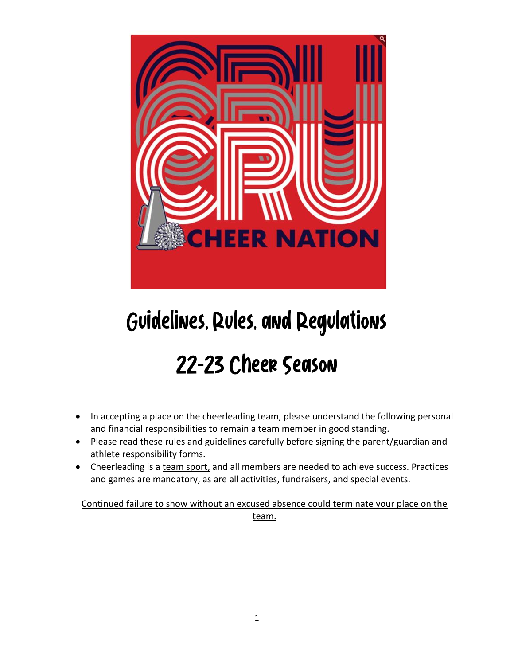

# Guidelines, Rules, and Regulations

## 22-23 Cheer Season

- In accepting a place on the cheerleading team, please understand the following personal and financial responsibilities to remain a team member in good standing.
- Please read these rules and guidelines carefully before signing the parent/guardian and athlete responsibility forms.
- Cheerleading is a team sport, and all members are needed to achieve success. Practices and games are mandatory, as are all activities, fundraisers, and special events.

Continued failure to show without an excused absence could terminate your place on the team.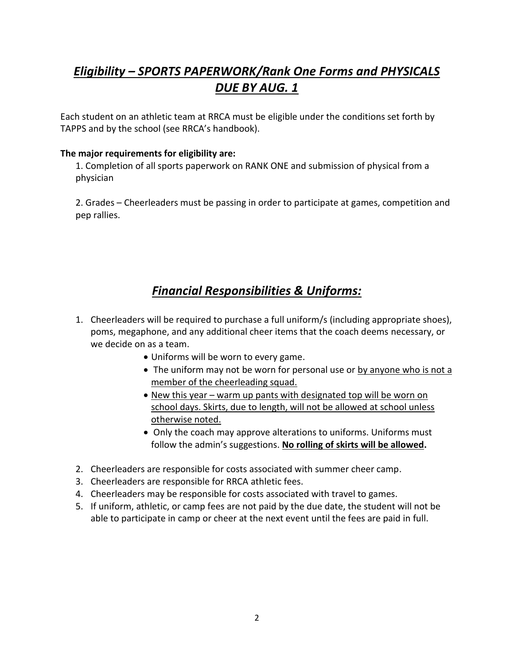## *Eligibility – SPORTS PAPERWORK/Rank One Forms and PHYSICALS DUE BY AUG. 1*

Each student on an athletic team at RRCA must be eligible under the conditions set forth by TAPPS and by the school (see RRCA's handbook).

#### **The major requirements for eligibility are:**

1. Completion of all sports paperwork on RANK ONE and submission of physical from a physician

2. Grades – Cheerleaders must be passing in order to participate at games, competition and pep rallies.

#### *Financial Responsibilities & Uniforms:*

- 1. Cheerleaders will be required to purchase a full uniform/s (including appropriate shoes), poms, megaphone, and any additional cheer items that the coach deems necessary, or we decide on as a team.
	- Uniforms will be worn to every game.
	- The uniform may not be worn for personal use or by anyone who is not a member of the cheerleading squad.
	- New this year warm up pants with designated top will be worn on school days. Skirts, due to length, will not be allowed at school unless otherwise noted.
	- Only the coach may approve alterations to uniforms. Uniforms must follow the admin's suggestions. **No rolling of skirts will be allowed.**
- 2. Cheerleaders are responsible for costs associated with summer cheer camp.
- 3. Cheerleaders are responsible for RRCA athletic fees.
- 4. Cheerleaders may be responsible for costs associated with travel to games.
- 5. If uniform, athletic, or camp fees are not paid by the due date, the student will not be able to participate in camp or cheer at the next event until the fees are paid in full.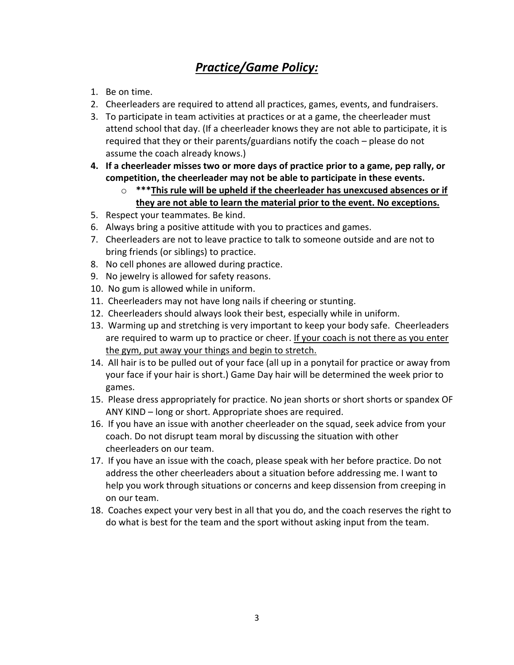## *Practice/Game Policy:*

- 1. Be on time.
- 2. Cheerleaders are required to attend all practices, games, events, and fundraisers.
- 3. To participate in team activities at practices or at a game, the cheerleader must attend school that day. (If a cheerleader knows they are not able to participate, it is required that they or their parents/guardians notify the coach – please do not assume the coach already knows.)
- **4. If a cheerleader misses two or more days of practice prior to a game, pep rally, or competition, the cheerleader may not be able to participate in these events.**
	- o **\*\*\*This rule will be upheld if the cheerleader has unexcused absences or if they are not able to learn the material prior to the event. No exceptions.**
- 5. Respect your teammates. Be kind.
- 6. Always bring a positive attitude with you to practices and games.
- 7. Cheerleaders are not to leave practice to talk to someone outside and are not to bring friends (or siblings) to practice.
- 8. No cell phones are allowed during practice.
- 9. No jewelry is allowed for safety reasons.
- 10. No gum is allowed while in uniform.
- 11. Cheerleaders may not have long nails if cheering or stunting.
- 12. Cheerleaders should always look their best, especially while in uniform.
- 13. Warming up and stretching is very important to keep your body safe. Cheerleaders are required to warm up to practice or cheer. If your coach is not there as you enter the gym, put away your things and begin to stretch.
- 14. All hair is to be pulled out of your face (all up in a ponytail for practice or away from your face if your hair is short.) Game Day hair will be determined the week prior to games.
- 15. Please dress appropriately for practice. No jean shorts or short shorts or spandex OF ANY KIND – long or short. Appropriate shoes are required.
- 16. If you have an issue with another cheerleader on the squad, seek advice from your coach. Do not disrupt team moral by discussing the situation with other cheerleaders on our team.
- 17. If you have an issue with the coach, please speak with her before practice. Do not address the other cheerleaders about a situation before addressing me. I want to help you work through situations or concerns and keep dissension from creeping in on our team.
- 18. Coaches expect your very best in all that you do, and the coach reserves the right to do what is best for the team and the sport without asking input from the team.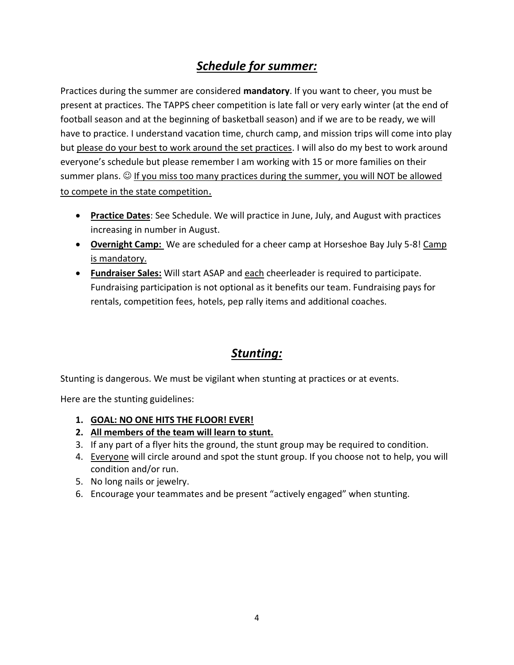#### *Schedule for summer:*

Practices during the summer are considered **mandatory**. If you want to cheer, you must be present at practices. The TAPPS cheer competition is late fall or very early winter (at the end of football season and at the beginning of basketball season) and if we are to be ready, we will have to practice. I understand vacation time, church camp, and mission trips will come into play but please do your best to work around the set practices. I will also do my best to work around everyone's schedule but please remember I am working with 15 or more families on their summer plans.  $\odot$  If you miss too many practices during the summer, you will NOT be allowed to compete in the state competition.

- **Practice Dates**: See Schedule. We will practice in June, July, and August with practices increasing in number in August.
- **Overnight Camp:** We are scheduled for a cheer camp at Horseshoe Bay July 5-8! Camp is mandatory.
- **Fundraiser Sales:** Will start ASAP and each cheerleader is required to participate. Fundraising participation is not optional as it benefits our team. Fundraising pays for rentals, competition fees, hotels, pep rally items and additional coaches.

#### *Stunting:*

Stunting is dangerous. We must be vigilant when stunting at practices or at events.

Here are the stunting guidelines:

- **1. GOAL: NO ONE HITS THE FLOOR! EVER!**
- **2. All members of the team will learn to stunt.**
- 3. If any part of a flyer hits the ground, the stunt group may be required to condition.
- 4. Everyone will circle around and spot the stunt group. If you choose not to help, you will condition and/or run.
- 5. No long nails or jewelry.
- 6. Encourage your teammates and be present "actively engaged" when stunting.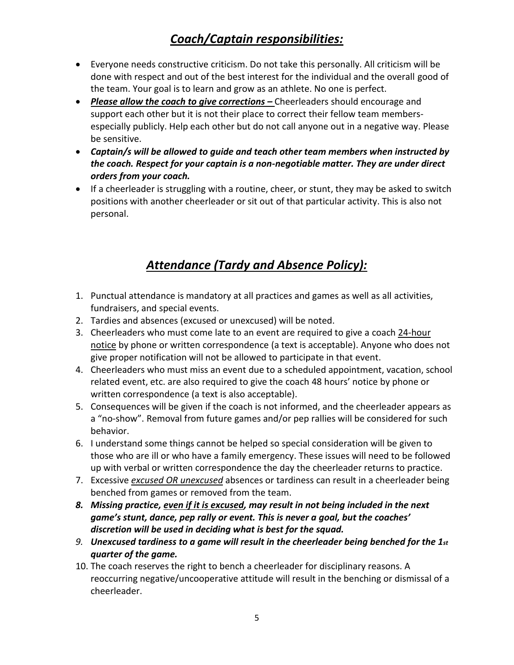### *Coach/Captain responsibilities:*

- Everyone needs constructive criticism. Do not take this personally. All criticism will be done with respect and out of the best interest for the individual and the overall good of the team. Your goal is to learn and grow as an athlete. No one is perfect.
- *Please allow the coach to give corrections –* Cheerleaders should encourage and support each other but it is not their place to correct their fellow team membersespecially publicly. Help each other but do not call anyone out in a negative way. Please be sensitive.
- *Captain/s will be allowed to guide and teach other team members when instructed by the coach. Respect for your captain is a non-negotiable matter. They are under direct orders from your coach.*
- If a cheerleader is struggling with a routine, cheer, or stunt, they may be asked to switch positions with another cheerleader or sit out of that particular activity. This is also not personal.

## *Attendance (Tardy and Absence Policy):*

- 1. Punctual attendance is mandatory at all practices and games as well as all activities, fundraisers, and special events.
- 2. Tardies and absences (excused or unexcused) will be noted.
- 3. Cheerleaders who must come late to an event are required to give a coach 24-hour notice by phone or written correspondence (a text is acceptable). Anyone who does not give proper notification will not be allowed to participate in that event.
- 4. Cheerleaders who must miss an event due to a scheduled appointment, vacation, school related event, etc. are also required to give the coach 48 hours' notice by phone or written correspondence (a text is also acceptable).
- 5. Consequences will be given if the coach is not informed, and the cheerleader appears as a "no-show". Removal from future games and/or pep rallies will be considered for such behavior.
- 6. I understand some things cannot be helped so special consideration will be given to those who are ill or who have a family emergency. These issues will need to be followed up with verbal or written correspondence the day the cheerleader returns to practice.
- 7. Excessive *excused OR unexcused* absences or tardiness can result in a cheerleader being benched from games or removed from the team.
- *8. Missing practice, even if it is excused, may result in not being included in the next game's stunt, dance, pep rally or event. This is never a goal, but the coaches' discretion will be used in deciding what is best for the squad.*
- *9. Unexcused tardiness to a game will result in the cheerleader being benched for the 1st quarter of the game.*
- 10. The coach reserves the right to bench a cheerleader for disciplinary reasons. A reoccurring negative/uncooperative attitude will result in the benching or dismissal of a cheerleader.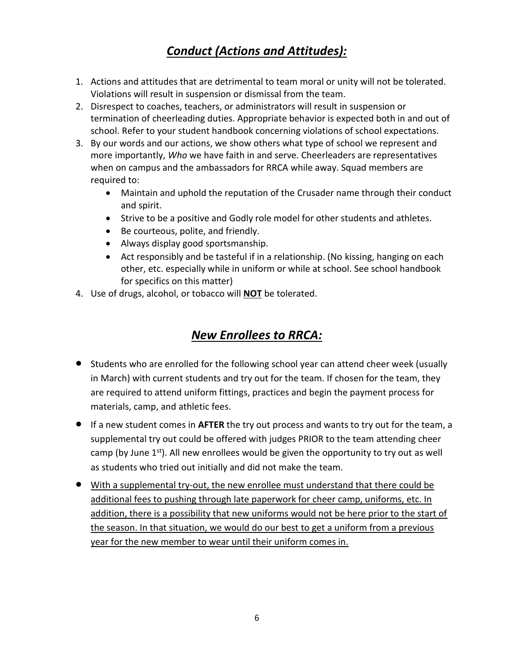## *Conduct (Actions and Attitudes):*

- 1. Actions and attitudes that are detrimental to team moral or unity will not be tolerated. Violations will result in suspension or dismissal from the team.
- 2. Disrespect to coaches, teachers, or administrators will result in suspension or termination of cheerleading duties. Appropriate behavior is expected both in and out of school. Refer to your student handbook concerning violations of school expectations.
- 3. By our words and our actions, we show others what type of school we represent and more importantly, *Who* we have faith in and serve. Cheerleaders are representatives when on campus and the ambassadors for RRCA while away. Squad members are required to:
	- Maintain and uphold the reputation of the Crusader name through their conduct and spirit.
	- Strive to be a positive and Godly role model for other students and athletes.
	- Be courteous, polite, and friendly.
	- Always display good sportsmanship.
	- Act responsibly and be tasteful if in a relationship. (No kissing, hanging on each other, etc. especially while in uniform or while at school. See school handbook for specifics on this matter)
- 4. Use of drugs, alcohol, or tobacco will **NOT** be tolerated.

### *New Enrollees to RRCA:*

- Students who are enrolled for the following school year can attend cheer week (usually in March) with current students and try out for the team. If chosen for the team, they are required to attend uniform fittings, practices and begin the payment process for materials, camp, and athletic fees.
- If a new student comes in **AFTER** the try out process and wants to try out for the team, a supplemental try out could be offered with judges PRIOR to the team attending cheer camp (by June  $1<sup>st</sup>$ ). All new enrollees would be given the opportunity to try out as well as students who tried out initially and did not make the team.
- With a supplemental try-out, the new enrollee must understand that there could be additional fees to pushing through late paperwork for cheer camp, uniforms, etc. In addition, there is a possibility that new uniforms would not be here prior to the start of the season. In that situation, we would do our best to get a uniform from a previous year for the new member to wear until their uniform comes in.